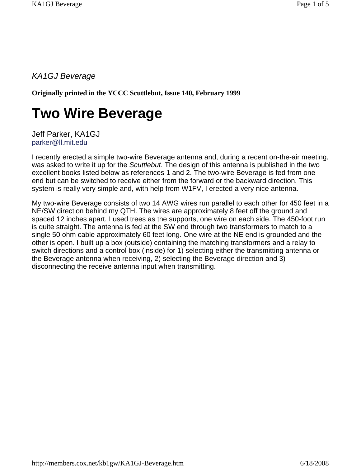*KA1GJ Beverage*

**Originally printed in the YCCC Scuttlebut, Issue 140, February 1999**

## **Two Wire Beverage**

Jeff Parker, KA1GJ parker@ll.mit.edu

I recently erected a simple two-wire Beverage antenna and, during a recent on-the-air meeting, was asked to write it up for the *Scuttlebut*. The design of this antenna is published in the two excellent books listed below as references 1 and 2. The two-wire Beverage is fed from one end but can be switched to receive either from the forward or the backward direction. This system is really very simple and, with help from W1FV, I erected a very nice antenna.

My two-wire Beverage consists of two 14 AWG wires run parallel to each other for 450 feet in a NE/SW direction behind my QTH. The wires are approximately 8 feet off the ground and spaced 12 inches apart. I used trees as the supports, one wire on each side. The 450-foot run is quite straight. The antenna is fed at the SW end through two transformers to match to a single 50 ohm cable approximately 60 feet long. One wire at the NE end is grounded and the other is open. I built up a box (outside) containing the matching transformers and a relay to switch directions and a control box (inside) for 1) selecting either the transmitting antenna or the Beverage antenna when receiving, 2) selecting the Beverage direction and 3) disconnecting the receive antenna input when transmitting.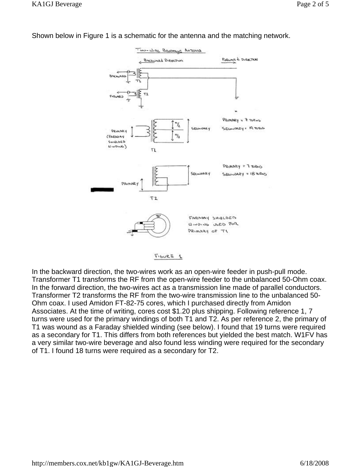

Shown below in Figure 1 is a schematic for the antenna and the matching network.



In the backward direction, the two-wires work as an open-wire feeder in push-pull mode. Transformer T1 transforms the RF from the open-wire feeder to the unbalanced 50-Ohm coax. In the forward direction, the two-wires act as a transmission line made of parallel conductors. Transformer T2 transforms the RF from the two-wire transmission line to the unbalanced 50- Ohm coax. I used Amidon FT-82-75 cores, which I purchased directly from Amidon Associates. At the time of writing, cores cost \$1.20 plus shipping. Following reference 1, 7 turns were used for the primary windings of both T1 and T2. As per reference 2, the primary of T1 was wound as a Faraday shielded winding (see below). I found that 19 turns were required as a secondary for T1. This differs from both references but yielded the best match. W1FV has a very similar two-wire beverage and also found less winding were required for the secondary of T1. I found 18 turns were required as a secondary for T2.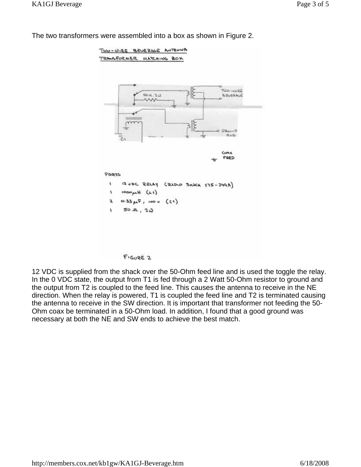

The two transformers were assembled into a box as shown in Figure 2.



12 VDC is supplied from the shack over the 50-Ohm feed line and is used the toggle the relay. In the 0 VDC state, the output from T1 is fed through a 2 Watt 50-Ohm resistor to ground and the output from T2 is coupled to the feed line. This causes the antenna to receive in the NE direction. When the relay is powered, T1 is coupled the feed line and T2 is terminated causing the antenna to receive in the SW direction. It is important that transformer not feeding the 50- Ohm coax be terminated in a 50-Ohm load. In addition, I found that a good ground was necessary at both the NE and SW ends to achieve the best match.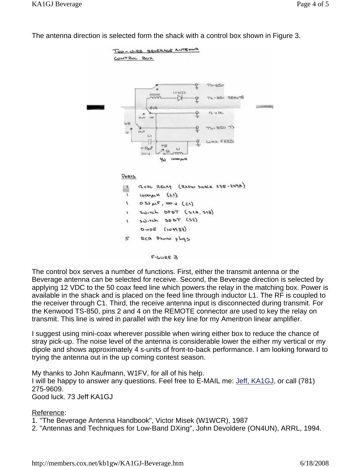

The antenna direction is selected form the shack with a control box shown in Figure 3.



The control box serves a number of functions. First, either the transmit antenna or the Beverage antenna can be selected for receive. Second, the Beverage direction is selected by applying 12 VDC to the 50 coax feed line which powers the relay in the matching box. Power is available in the shack and is placed on the feed line through inductor L1. The RF is coupled to the receiver through C1. Third, the receive antenna input is disconnected during transmit. For the Kenwood TS-850, pins 2 and 4 on the REMOTE connector are used to key the relay on transmit. This line is wired in parallel with the key line for my Ameritron linear amplifier.

I suggest using mini-coax wherever possible when wiring either box to reduce the chance of stray pick-up. The noise level of the antenna is considerable lower the either my vertical or my dipole and shows approximately 4 s-units of front-to-back performance. I am looking forward to trying the antenna out in the up coming contest season.

My thanks to John Kaufmann, W1FV, for all of his help. I will be happy to answer any questions. Feel free to E-MAIL me: Jeff, KA1GJ, or call (781) 275-9609. Good luck. 73 Jeff KA1GJ

## Reference:

1. "The Beverage Antenna Handbook", Victor Misek (W1WCR), 1987

2. "Antennas and Techniques for Low-Band DXing", John Devoldere (ON4UN), ARRL, 1994.